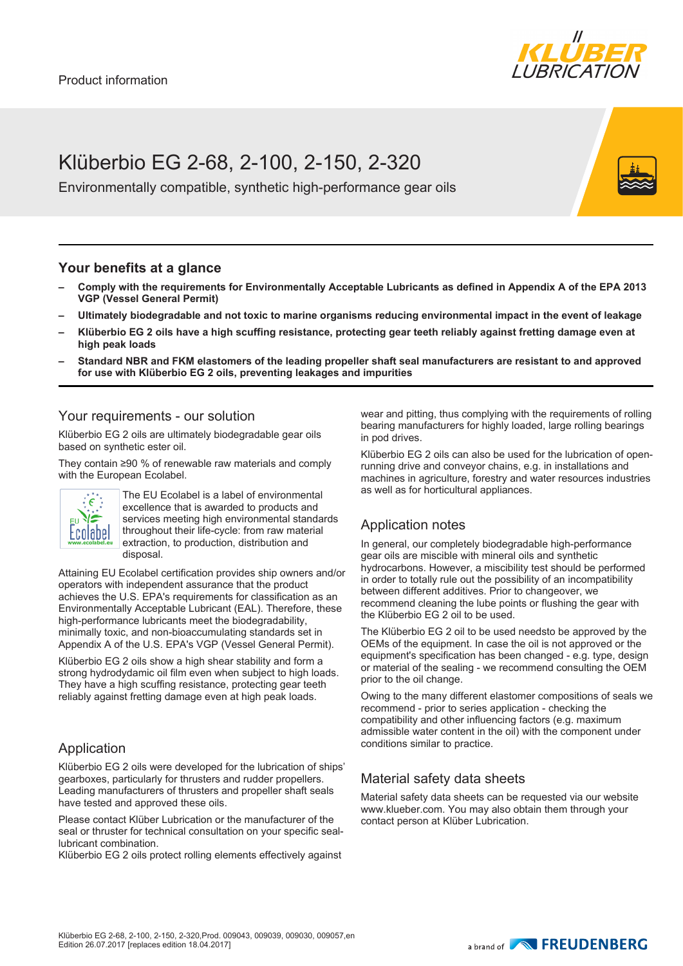

# Klüberbio EG 2-68, 2-100, 2-150, 2-320

Environmentally compatible, synthetic high-performance gear oils

#### **Your benefits at a glance**

- **– Comply with the requirements for Environmentally Acceptable Lubricants as defined in Appendix A of the EPA 2013 VGP (Vessel General Permit)**
- **– Ultimately biodegradable and not toxic to marine organisms reducing environmental impact in the event of leakage**
- **– Klüberbio EG 2 oils have a high scuffing resistance, protecting gear teeth reliably against fretting damage even at high peak loads**
- **– Standard NBR and FKM elastomers of the leading propeller shaft seal manufacturers are resistant to and approved for use with Klüberbio EG 2 oils, preventing leakages and impurities**

### Your requirements - our solution

Klüberbio EG 2 oils are ultimately biodegradable gear oils based on synthetic ester oil.

They contain ≥90 % of renewable raw materials and comply with the European Ecolabel.



The EU Ecolabel is a label of environmental excellence that is awarded to products and services meeting high environmental standards throughout their life-cycle: from raw material extraction, to production, distribution and disposal.

Attaining EU Ecolabel certification provides ship owners and/or operators with independent assurance that the product achieves the U.S. EPA's requirements for classification as an Environmentally Acceptable Lubricant (EAL). Therefore, these high-performance lubricants meet the biodegradability, minimally toxic, and non-bioaccumulating standards set in Appendix A of the U.S. EPA's VGP (Vessel General Permit).

Klüberbio EG 2 oils show a high shear stability and form a strong hydrodydamic oil film even when subject to high loads. They have a high scuffing resistance, protecting gear teeth reliably against fretting damage even at high peak loads.

#### Application

Klüberbio EG 2 oils were developed for the lubrication of ships' gearboxes, particularly for thrusters and rudder propellers. Leading manufacturers of thrusters and propeller shaft seals have tested and approved these oils.

Please contact Klüber Lubrication or the manufacturer of the seal or thruster for technical consultation on your specific seallubricant combination.

Klüberbio EG 2 oils protect rolling elements effectively against

wear and pitting, thus complying with the requirements of rolling bearing manufacturers for highly loaded, large rolling bearings in pod drives.

Klüberbio EG 2 oils can also be used for the lubrication of openrunning drive and conveyor chains, e.g. in installations and machines in agriculture, forestry and water resources industries as well as for horticultural appliances.

#### Application notes

In general, our completely biodegradable high-performance gear oils are miscible with mineral oils and synthetic hydrocarbons. However, a miscibility test should be performed in order to totally rule out the possibility of an incompatibility between different additives. Prior to changeover, we recommend cleaning the lube points or flushing the gear with the Klüberbio EG 2 oil to be used.

The Klüberbio EG 2 oil to be used needsto be approved by the OEMs of the equipment. In case the oil is not approved or the equipment's specification has been changed - e.g. type, design or material of the sealing - we recommend consulting the OEM prior to the oil change.

Owing to the many different elastomer compositions of seals we recommend - prior to series application - checking the compatibility and other influencing factors (e.g. maximum admissible water content in the oil) with the component under conditions similar to practice.

### Material safety data sheets

Material safety data sheets can be requested via our website www.klueber.com. You may also obtain them through your contact person at Klüber Lubrication.

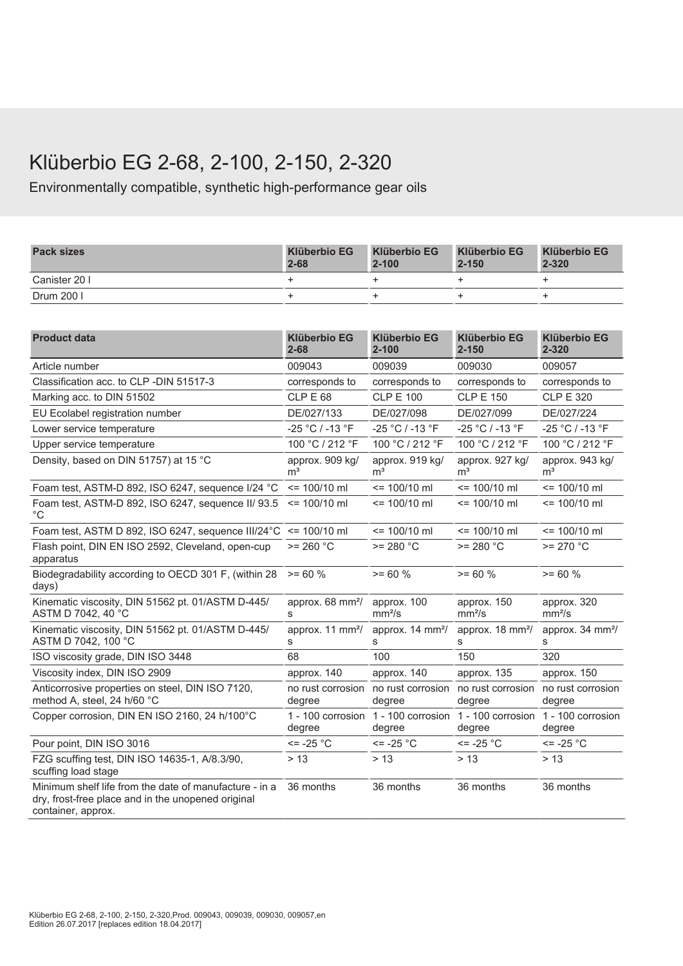## Klüberbio EG 2-68, 2-100, 2-150, 2-320

Environmentally compatible, synthetic high-performance gear oils

| <b>Pack sizes</b> | <b>Klüberbio EG</b><br>$2 - 68$ | <b>Klüberbio EG</b><br>$2 - 100$ | Klüberbio EG<br>$2 - 150$ | <b>Klüberbio EG</b><br>2-320 |
|-------------------|---------------------------------|----------------------------------|---------------------------|------------------------------|
| Canister 20 I     |                                 |                                  |                           |                              |
| Drum 200 l        |                                 |                                  |                           |                              |

| <b>Product data</b>                                                                                                                | <b>Klüberbio EG</b><br>$2 - 68$   | <b>Klüberbio EG</b><br>$2 - 100$              | <b>Klüberbio EG</b><br>$2 - 150$              | <b>Klüberbio EG</b><br>2-320      |  |  |  |  |
|------------------------------------------------------------------------------------------------------------------------------------|-----------------------------------|-----------------------------------------------|-----------------------------------------------|-----------------------------------|--|--|--|--|
| Article number                                                                                                                     | 009043                            | 009039                                        | 009030                                        | 009057                            |  |  |  |  |
| Classification acc. to CLP -DIN 51517-3                                                                                            | corresponds to                    | corresponds to                                | corresponds to                                | corresponds to                    |  |  |  |  |
| Marking acc. to DIN 51502                                                                                                          | CLP E 68                          | <b>CLP E 100</b>                              | <b>CLP E 150</b>                              | <b>CLP E 320</b>                  |  |  |  |  |
| EU Ecolabel registration number                                                                                                    | DE/027/133                        | DE/027/098                                    | DE/027/099                                    | DE/027/224                        |  |  |  |  |
| Lower service temperature                                                                                                          | $-25 °C / -13 °F$                 | -25 °C / -13 °F                               | $-25 °C / -13 °F$                             | $-25 °C / -13 °F$                 |  |  |  |  |
| Upper service temperature                                                                                                          | 100 °C / 212 °F                   | 100 °C / 212 °F                               | 100 °C / 212 °F                               | 100 °C / 212 °F                   |  |  |  |  |
| Density, based on DIN 51757) at 15 °C                                                                                              | approx. 909 kg/<br>m <sup>3</sup> | approx. 919 kg/<br>m <sup>3</sup>             | approx. 927 kg/<br>m <sup>3</sup>             | approx. 943 kg/<br>m <sup>3</sup> |  |  |  |  |
| Foam test, ASTM-D 892, ISO 6247, sequence I/24 °C                                                                                  | $= 100/10$ ml                     | $= 100/10$ ml                                 | $= 100/10$ ml                                 | $= 100/10$ ml                     |  |  |  |  |
| Foam test, ASTM-D 892, ISO 6247, sequence II/ 93.5<br>$^{\circ}$ C                                                                 | $= 100/10$ ml                     | $= 100/10$ ml                                 | $= 100/10$ ml                                 | $= 100/10$ ml                     |  |  |  |  |
| Foam test, ASTM D 892, ISO 6247, sequence III/24°C <= 100/10 ml                                                                    |                                   | $= 100/10$ ml                                 | $= 100/10$ ml                                 | $= 100/10$ ml                     |  |  |  |  |
| Flash point, DIN EN ISO 2592, Cleveland, open-cup<br>apparatus                                                                     | $>= 260 °C$                       | $>= 280 °C$                                   | $>= 280 °C$                                   | $>= 270 °C$                       |  |  |  |  |
| Biodegradability according to OECD 301 F, (within 28<br>days)                                                                      | $>= 60 %$                         | $>= 60 %$                                     | $>= 60 %$                                     | $>= 60 %$                         |  |  |  |  |
| Kinematic viscosity, DIN 51562 pt. 01/ASTM D-445/<br>ASTM D 7042, 40 °C                                                            | approx. 68 mm <sup>2</sup> /<br>S | approx. 100<br>mm <sup>2</sup> /s             | approx. 150<br>mm <sup>2</sup> /s             | approx. 320<br>mm <sup>2</sup> /s |  |  |  |  |
| Kinematic viscosity, DIN 51562 pt. 01/ASTM D-445/<br>ASTM D 7042, 100 °C                                                           | approx. 11 mm <sup>2</sup> /<br>s | approx. 14 mm <sup>2</sup> /<br>s             | approx. 18 mm <sup>2</sup> /<br>s             | approx. 34 mm <sup>2</sup> /<br>s |  |  |  |  |
| ISO viscosity grade, DIN ISO 3448                                                                                                  | 68                                | 100                                           | 150                                           | 320                               |  |  |  |  |
| Viscosity index, DIN ISO 2909                                                                                                      | approx. 140                       | approx. 140                                   | approx. 135                                   | approx. 150                       |  |  |  |  |
| Anticorrosive properties on steel, DIN ISO 7120,<br>method A, steel, 24 h/60 °C                                                    | degree                            | no rust corrosion no rust corrosion<br>degree | no rust corrosion no rust corrosion<br>degree | degree                            |  |  |  |  |
| Copper corrosion, DIN EN ISO 2160, 24 h/100°C                                                                                      | degree                            | 1 - 100 corrosion 1 - 100 corrosion<br>degree | 1 - 100 corrosion<br>degree                   | 1 - 100 corrosion<br>degree       |  |  |  |  |
| Pour point, DIN ISO 3016                                                                                                           | $\leq$ = -25 °C                   | $\leq$ = -25 °C                               | $\leq$ -25 °C                                 | $\epsilon$ = -25 °C               |  |  |  |  |
| FZG scuffing test, DIN ISO 14635-1, A/8.3/90,<br>scuffing load stage                                                               | > 13                              | > 13                                          | > 13                                          | > 13                              |  |  |  |  |
| Minimum shelf life from the date of manufacture - in a<br>dry, frost-free place and in the unopened original<br>container, approx. | 36 months                         | 36 months                                     | 36 months                                     | 36 months                         |  |  |  |  |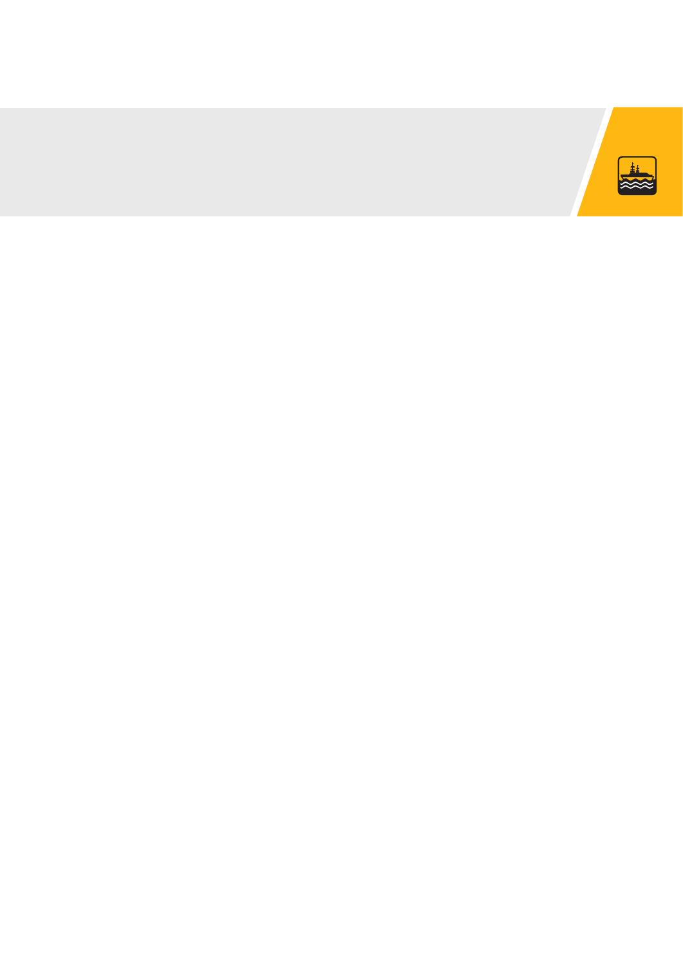